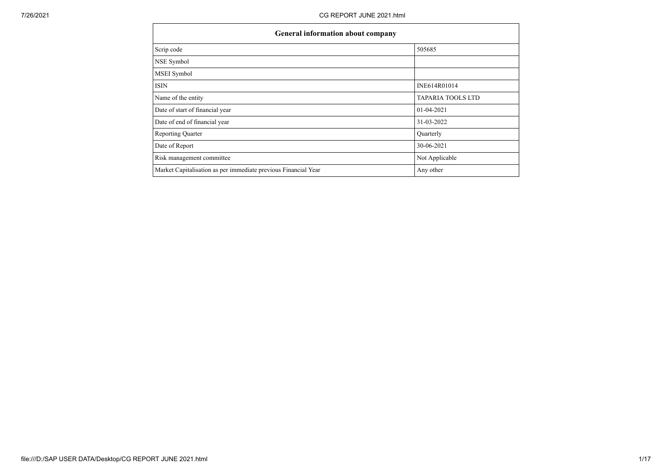| General information about company                              |                          |
|----------------------------------------------------------------|--------------------------|
| Scrip code                                                     | 505685                   |
| NSE Symbol                                                     |                          |
| MSEI Symbol                                                    |                          |
| <b>ISIN</b>                                                    | INE614R01014             |
| Name of the entity                                             | <b>TAPARIA TOOLS LTD</b> |
| Date of start of financial year                                | 01-04-2021               |
| Date of end of financial year                                  | 31-03-2022               |
| Reporting Quarter                                              | Quarterly                |
| Date of Report                                                 | 30-06-2021               |
| Risk management committee                                      | Not Applicable           |
| Market Capitalisation as per immediate previous Financial Year | Any other                |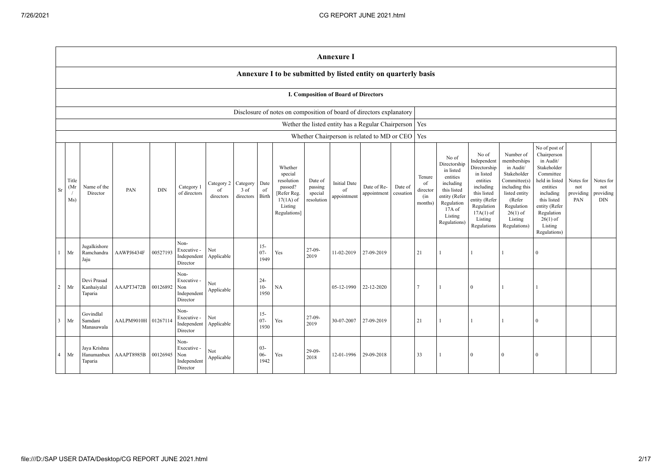|                |                     |                                       |                    |            |                                                       |                               |                               |                          |                                                                                                      |                                             | <b>Annexure I</b>                           |                                                          |                      |                                            |                                                                                                                                                |                                                                                                                                                                   |                                                                                                                                                                          |                                                                                                                                                                                                         |                                      |                                             |
|----------------|---------------------|---------------------------------------|--------------------|------------|-------------------------------------------------------|-------------------------------|-------------------------------|--------------------------|------------------------------------------------------------------------------------------------------|---------------------------------------------|---------------------------------------------|----------------------------------------------------------|----------------------|--------------------------------------------|------------------------------------------------------------------------------------------------------------------------------------------------|-------------------------------------------------------------------------------------------------------------------------------------------------------------------|--------------------------------------------------------------------------------------------------------------------------------------------------------------------------|---------------------------------------------------------------------------------------------------------------------------------------------------------------------------------------------------------|--------------------------------------|---------------------------------------------|
|                |                     |                                       |                    |            |                                                       |                               |                               |                          | Annexure I to be submitted by listed entity on quarterly basis                                       |                                             |                                             |                                                          |                      |                                            |                                                                                                                                                |                                                                                                                                                                   |                                                                                                                                                                          |                                                                                                                                                                                                         |                                      |                                             |
|                |                     |                                       |                    |            |                                                       |                               |                               |                          |                                                                                                      |                                             | <b>I. Composition of Board of Directors</b> |                                                          |                      |                                            |                                                                                                                                                |                                                                                                                                                                   |                                                                                                                                                                          |                                                                                                                                                                                                         |                                      |                                             |
|                |                     |                                       |                    |            |                                                       |                               |                               |                          | Disclosure of notes on composition of board of directors explanatory                                 |                                             |                                             |                                                          |                      |                                            |                                                                                                                                                |                                                                                                                                                                   |                                                                                                                                                                          |                                                                                                                                                                                                         |                                      |                                             |
|                |                     |                                       |                    |            |                                                       |                               |                               |                          |                                                                                                      |                                             |                                             | Wether the listed entity has a Regular Chairperson   Yes |                      |                                            |                                                                                                                                                |                                                                                                                                                                   |                                                                                                                                                                          |                                                                                                                                                                                                         |                                      |                                             |
|                |                     |                                       |                    |            |                                                       |                               |                               |                          |                                                                                                      |                                             |                                             | Whether Chairperson is related to MD or CEO              |                      | Yes                                        |                                                                                                                                                |                                                                                                                                                                   |                                                                                                                                                                          |                                                                                                                                                                                                         |                                      |                                             |
| Sr             | Title<br>(Mr<br>Ms) | Name of the<br>Director               | PAN                | <b>DIN</b> | Category 1<br>of directors                            | Category 2<br>of<br>directors | Category<br>3 of<br>directors | Date<br>of<br>Birth      | Whether<br>special<br>resolution<br>passed?<br>[Refer Reg.<br>$17(1A)$ of<br>Listing<br>Regulations] | Date of<br>passing<br>special<br>resolution | <b>Initial Date</b><br>of<br>appointment    | Date of Re-<br>appointment                               | Date of<br>cessation | Tenure<br>of<br>director<br>(in<br>months) | No of<br>Directorship<br>in listed<br>entities<br>including<br>this listed<br>entity (Refer<br>Regulation<br>17A of<br>Listing<br>Regulations) | No of<br>Independent<br>Directorship<br>in listed<br>entities<br>including<br>this listed<br>entity (Refer<br>Regulation<br>$17A(1)$ of<br>Listing<br>Regulations | Number of<br>memberships<br>in Audit/<br>Stakeholder<br>Committee(s)<br>including this<br>listed entity<br>(Refer<br>Regulation<br>$26(1)$ of<br>Listing<br>Regulations) | No of post of<br>Chairperson<br>in Audit/<br>Stakeholder<br>Committee<br>held in listed<br>entities<br>including<br>this listed<br>entity (Refer<br>Regulation<br>$26(1)$ of<br>Listing<br>Regulations) | Notes for<br>not<br>providing<br>PAN | Notes for<br>not<br>providing<br><b>DIN</b> |
| $\mathbf{1}$   | Mr                  | Jugalkishore<br>Ramchandra<br>Jaju    | AAWPJ6434F         | 00527193   | Non-<br>Executive -<br>Independent<br>Director        | Not<br>Applicable             |                               | $15 -$<br>$07 -$<br>1949 | Yes                                                                                                  | $27-09-$<br>2019                            | 11-02-2019                                  | 27-09-2019                                               |                      | 21                                         |                                                                                                                                                |                                                                                                                                                                   |                                                                                                                                                                          | $\theta$                                                                                                                                                                                                |                                      |                                             |
| $\overline{2}$ | Mr                  | Devi Prasad<br>Kanhaiyalal<br>Taparia | AAAPT3472B         | 00126892   | Non-<br>Executive -<br>Non<br>Independent<br>Director | Not<br>Applicable             |                               | $24 -$<br>$10-$<br>1950  | NA                                                                                                   |                                             | 05-12-1990                                  | 22-12-2020                                               |                      | 7                                          |                                                                                                                                                | $\Omega$                                                                                                                                                          |                                                                                                                                                                          |                                                                                                                                                                                                         |                                      |                                             |
| $\overline{3}$ | Mr                  | Govindlal<br>Samdani<br>Manasawala    | AALPM9010H 0126711 |            | Non-<br>Executive -<br>Independent<br>Director        | Not<br>Applicable             |                               | $15 -$<br>$07 -$<br>1930 | Yes                                                                                                  | $27-09-$<br>2019                            | 30-07-2007                                  | 27-09-2019                                               |                      | 21                                         |                                                                                                                                                |                                                                                                                                                                   |                                                                                                                                                                          | $\Omega$                                                                                                                                                                                                |                                      |                                             |
| $\overline{4}$ | Mr                  | Jaya Krishna<br>Hanumanbux<br>Taparia | AAAPT8985B         | 00126945   | Non-<br>Executive -<br>Non<br>Independent<br>Director | Not<br>Applicable             |                               | $03 -$<br>$06 -$<br>1942 | Yes                                                                                                  | $29-09-$<br>2018                            | 12-01-1996                                  | 29-09-2018                                               |                      | 33                                         |                                                                                                                                                |                                                                                                                                                                   | $\theta$                                                                                                                                                                 | $\theta$                                                                                                                                                                                                |                                      |                                             |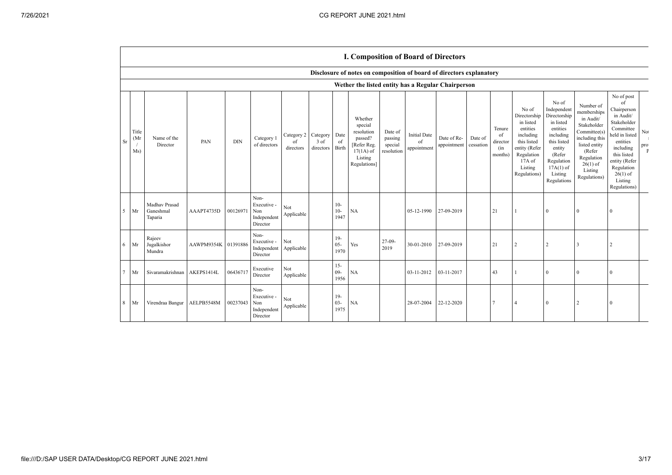|        |                      |                                       |                     |            |                                                       |                               |                               |                         | <b>I. Composition of Board of Directors</b>                                                          |                                             |                                          |                            |                      |                                            |                                                                                                                                                |                                                                                                                                                                      |                                                                                                                                                                          |                                                                                                                                                                                                            |                                                           |
|--------|----------------------|---------------------------------------|---------------------|------------|-------------------------------------------------------|-------------------------------|-------------------------------|-------------------------|------------------------------------------------------------------------------------------------------|---------------------------------------------|------------------------------------------|----------------------------|----------------------|--------------------------------------------|------------------------------------------------------------------------------------------------------------------------------------------------|----------------------------------------------------------------------------------------------------------------------------------------------------------------------|--------------------------------------------------------------------------------------------------------------------------------------------------------------------------|------------------------------------------------------------------------------------------------------------------------------------------------------------------------------------------------------------|-----------------------------------------------------------|
|        |                      |                                       |                     |            |                                                       |                               |                               |                         | Disclosure of notes on composition of board of directors explanatory                                 |                                             |                                          |                            |                      |                                            |                                                                                                                                                |                                                                                                                                                                      |                                                                                                                                                                          |                                                                                                                                                                                                            |                                                           |
|        |                      |                                       |                     |            |                                                       |                               |                               |                         | Wether the listed entity has a Regular Chairperson                                                   |                                             |                                          |                            |                      |                                            |                                                                                                                                                |                                                                                                                                                                      |                                                                                                                                                                          |                                                                                                                                                                                                            |                                                           |
| Sr     | Title<br>(Mr)<br>Ms) | Name of the<br>Director               | PAN                 | <b>DIN</b> | Category 1<br>of directors                            | Category 2<br>of<br>directors | Category<br>3 of<br>directors | Date<br>of<br>Birth     | Whether<br>special<br>resolution<br>passed?<br>[Refer Reg.<br>$17(1A)$ of<br>Listing<br>Regulations] | Date of<br>passing<br>special<br>resolution | <b>Initial Date</b><br>of<br>appointment | Date of Re-<br>appointment | Date of<br>cessation | Tenure<br>of<br>director<br>(in<br>months) | No of<br>Directorship<br>in listed<br>entities<br>including<br>this listed<br>entity (Refer<br>Regulation<br>17A of<br>Listing<br>Regulations) | No of<br>Independent<br>Directorship<br>in listed<br>entities<br>including<br>this listed<br>entity<br>(Refer<br>Regulation<br>$17A(1)$ of<br>Listing<br>Regulations | Number of<br>memberships<br>in Audit/<br>Stakeholder<br>Committee(s)<br>including this<br>listed entity<br>(Refer<br>Regulation<br>$26(1)$ of<br>Listing<br>Regulations) | No of post<br>of<br>Chairperson<br>in Audit/<br>Stakeholder<br>Committee<br>held in listed<br>entities<br>including<br>this listed<br>entity (Refer<br>Regulation<br>$26(1)$ of<br>Listing<br>Regulations) | Not<br>$\overline{1}$<br>pro <sup>-</sup><br>$\mathbf{F}$ |
| 5      | Mr                   | Madhav Prasad<br>Ganeshmal<br>Taparia | AAAPT4735D          | 00126971   | Non-<br>Executive -<br>Non<br>Independent<br>Director | Not<br>Applicable             |                               | $10-$<br>$10-$<br>1947  | NA                                                                                                   |                                             | 05-12-1990                               | 27-09-2019                 |                      | 21                                         |                                                                                                                                                | $\Omega$                                                                                                                                                             | $\Omega$                                                                                                                                                                 | $\Omega$                                                                                                                                                                                                   |                                                           |
| 6      | Mr                   | Rajeev<br>Jugalkishor<br>Mundra       | AAWPM9354K 01391886 |            | Non-<br>Executive -<br>Independent<br>Director        | Not<br>Applicable             |                               | $19-$<br>$05 -$<br>1970 | Yes                                                                                                  | $27-09-$<br>2019                            | 30-01-2010                               | 27-09-2019                 |                      | 21                                         | $\overline{2}$                                                                                                                                 | 2                                                                                                                                                                    | 3                                                                                                                                                                        | $\overline{2}$                                                                                                                                                                                             |                                                           |
| $\tau$ | Mr                   | Sivaramakrishnan                      | AKEPS1414L          | 06436717   | Executive<br>Director                                 | Not<br>Applicable             |                               | $15 -$<br>$09-$<br>1956 | NA                                                                                                   |                                             | 03-11-2012                               | 03-11-2017                 |                      | 43                                         |                                                                                                                                                | $\theta$                                                                                                                                                             | $\Omega$                                                                                                                                                                 | $\Omega$                                                                                                                                                                                                   |                                                           |
| 8      | Mr                   | Virendraa Bangur                      | AELPB5548M          | 00237043   | Non-<br>Executive -<br>Non<br>Independent<br>Director | Not<br>Applicable             |                               | $19-$<br>$03 -$<br>1975 | NA                                                                                                   |                                             | 28-07-2004                               | 22-12-2020                 |                      | $\overline{7}$                             | 4                                                                                                                                              | $\Omega$                                                                                                                                                             |                                                                                                                                                                          | $\theta$                                                                                                                                                                                                   |                                                           |

 $\mathbf{r}$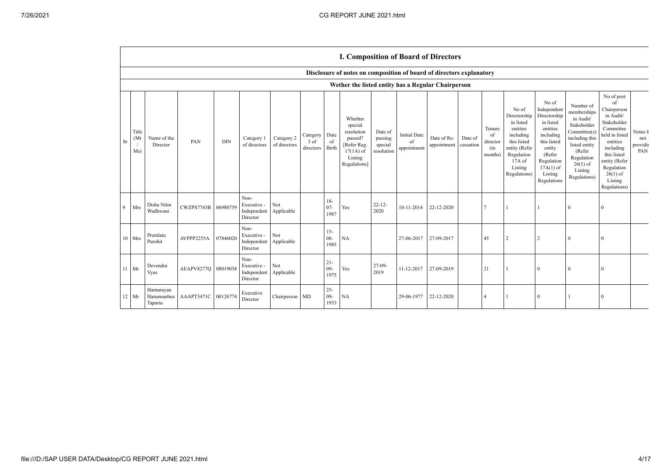|    |                      |                                     |                     |            |                                                |                            |                               |                                | <b>I. Composition of Board of Directors</b>                                                          |                                             |                                          |                            |                      |                                            |                                                                                                                                                |                                                                                                                                                                      |                                                                                                                                                                          |                                                                                                                                                                                                            |                                   |
|----|----------------------|-------------------------------------|---------------------|------------|------------------------------------------------|----------------------------|-------------------------------|--------------------------------|------------------------------------------------------------------------------------------------------|---------------------------------------------|------------------------------------------|----------------------------|----------------------|--------------------------------------------|------------------------------------------------------------------------------------------------------------------------------------------------|----------------------------------------------------------------------------------------------------------------------------------------------------------------------|--------------------------------------------------------------------------------------------------------------------------------------------------------------------------|------------------------------------------------------------------------------------------------------------------------------------------------------------------------------------------------------------|-----------------------------------|
|    |                      |                                     |                     |            |                                                |                            |                               |                                | Disclosure of notes on composition of board of directors explanatory                                 |                                             |                                          |                            |                      |                                            |                                                                                                                                                |                                                                                                                                                                      |                                                                                                                                                                          |                                                                                                                                                                                                            |                                   |
|    |                      |                                     |                     |            |                                                |                            |                               |                                | Wether the listed entity has a Regular Chairperson                                                   |                                             |                                          |                            |                      |                                            |                                                                                                                                                |                                                                                                                                                                      |                                                                                                                                                                          |                                                                                                                                                                                                            |                                   |
| Sr | Title<br>(Mr)<br>Ms) | Name of the<br>Director             | PAN                 | <b>DIN</b> | Category 1<br>of directors                     | Category 2<br>of directors | Category<br>3 of<br>directors | Date<br><sup>of</sup><br>Birth | Whether<br>special<br>resolution<br>passed?<br>[Refer Reg.<br>$17(1A)$ of<br>Listing<br>Regulations] | Date of<br>passing<br>special<br>resolution | <b>Initial Date</b><br>of<br>appointment | Date of Re-<br>appointment | Date of<br>cessation | Tenure<br>of<br>director<br>(in<br>months) | No of<br>Directorship<br>in listed<br>entities<br>including<br>this listed<br>entity (Refer<br>Regulation<br>17A of<br>Listing<br>Regulations) | No of<br>Independent<br>Directorship<br>in listed<br>entities<br>including<br>this listed<br>entity<br>(Refer<br>Regulation<br>$17A(1)$ of<br>Listing<br>Regulations | Number of<br>memberships<br>in Audit/<br>Stakeholder<br>Committee(s)<br>including this<br>listed entity<br>(Refer<br>Regulation<br>$26(1)$ of<br>Listing<br>Regulations) | No of post<br>of<br>Chairperson<br>in Audit/<br>Stakeholder<br>Committee<br>held in listed<br>entities<br>including<br>this listed<br>entity (Refer<br>Regulation<br>$26(1)$ of<br>Listing<br>Regulations) | Notes f<br>not<br>providin<br>PAN |
| 9  | Mrs                  | Disha Nitin<br>Wadhwani             | CWZPS7743B 06980759 |            | Non-<br>Executive -<br>Independent<br>Director | Not<br>Applicable          |                               | $18-$<br>$07 -$<br>1987        | Yes                                                                                                  | $22 - 12$<br>2020                           | 10-11-2014                               | 22-12-2020                 |                      |                                            | 1                                                                                                                                              |                                                                                                                                                                      | $\Omega$                                                                                                                                                                 | $\Omega$                                                                                                                                                                                                   |                                   |
|    | 10 Mrs               | Premlata<br>Purohit                 | AVPPP2255A          | 07846020   | Non-<br>Executive -<br>Independent<br>Director | Not<br>Applicable          |                               | $15 -$<br>$08 -$<br>1985       | NA                                                                                                   |                                             | 27-06-2017                               | 27-09-2017                 |                      | 45                                         | $\overline{c}$                                                                                                                                 | 2                                                                                                                                                                    | $\Omega$                                                                                                                                                                 | $\Omega$                                                                                                                                                                                                   |                                   |
| 11 | Mr                   | Devendra<br>Vyas                    | AEAPV8277Q 08019038 |            | Non-<br>Executive -<br>Independent<br>Director | Not<br>Applicable          |                               | $21 -$<br>$09-$<br>1975        | Yes                                                                                                  | $27-09-$<br>2019                            | 11-12-2017                               | 27-09-2019                 |                      | 21                                         |                                                                                                                                                | $\theta$                                                                                                                                                             | $\Omega$                                                                                                                                                                 | $\Omega$                                                                                                                                                                                                   |                                   |
|    | $12$ Mr              | Harnarayan<br>Hanumanbux<br>Taparia | AAAPT3471C 00126774 |            | Executive<br>Director                          | Chairperson MD             |                               | $25 -$<br>$09 -$<br>1933       | <b>NA</b>                                                                                            |                                             | 29-06-1977                               | 22-12-2020                 |                      | $\overline{4}$                             |                                                                                                                                                | $\Omega$                                                                                                                                                             |                                                                                                                                                                          | $\Omega$                                                                                                                                                                                                   |                                   |

 $\mathbf{r}$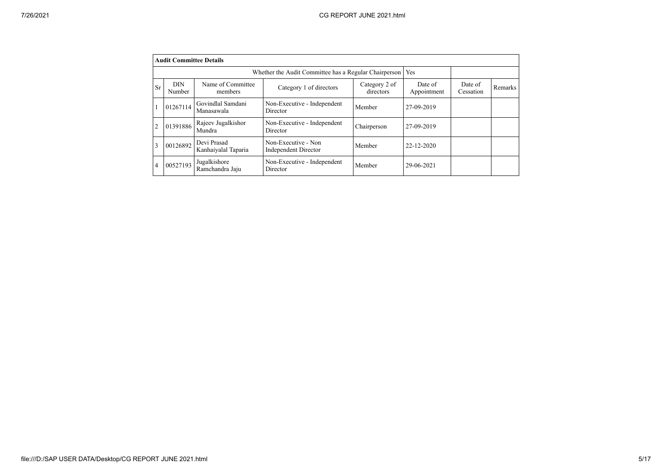|                | <b>Audit Committee Details</b> |                                    |                                                       |                            |                        |                      |         |
|----------------|--------------------------------|------------------------------------|-------------------------------------------------------|----------------------------|------------------------|----------------------|---------|
|                |                                |                                    | Whether the Audit Committee has a Regular Chairperson |                            | Yes                    |                      |         |
| Sr             | <b>DIN</b><br>Number           | Name of Committee<br>members       | Category 1 of directors                               | Category 2 of<br>directors | Date of<br>Appointment | Date of<br>Cessation | Remarks |
|                | 01267114                       | Govindlal Samdani<br>Manasawala    | Non-Executive - Independent<br>Director               | Member                     | 27-09-2019             |                      |         |
| $\overline{2}$ | 01391886                       | Rajeev Jugalkishor<br>Mundra       | Non-Executive - Independent<br>Director               | Chairperson                | 27-09-2019             |                      |         |
| 3              | 00126892                       | Devi Prasad<br>Kanhaiyalal Taparia | Non-Executive - Non<br><b>Independent Director</b>    | Member                     | 22-12-2020             |                      |         |
| $\overline{4}$ | 00527193                       | Jugalkishore<br>Ramchandra Jaju    | Non-Executive - Independent<br>Director               | Member                     | 29-06-2021             |                      |         |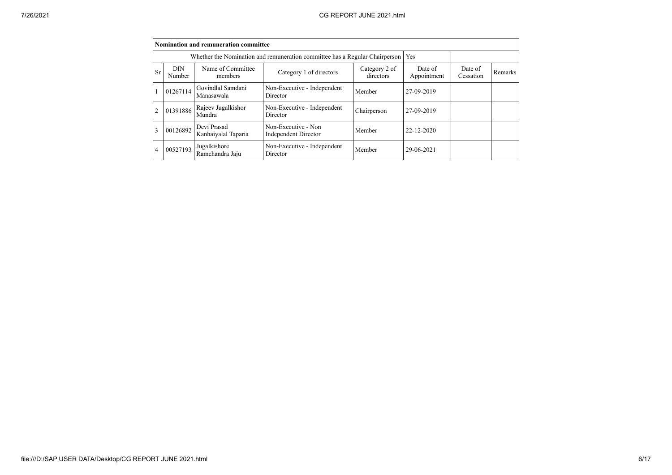|                |                      | Nomination and remuneration committee |                                                                             |                            |                        |                      |         |
|----------------|----------------------|---------------------------------------|-----------------------------------------------------------------------------|----------------------------|------------------------|----------------------|---------|
|                |                      |                                       | Whether the Nomination and remuneration committee has a Regular Chairperson |                            | Yes                    |                      |         |
| Sr             | <b>DIN</b><br>Number | Name of Committee<br>members          | Category 1 of directors                                                     | Category 2 of<br>directors | Date of<br>Appointment | Date of<br>Cessation | Remarks |
|                | 01267114             | Govindlal Samdani<br>Manasawala       | Non-Executive - Independent<br>Director                                     | Member                     | 27-09-2019             |                      |         |
| $\overline{2}$ | 01391886             | Rajeev Jugalkishor<br>Mundra          | Non-Executive - Independent<br>Director                                     | Chairperson                | 27-09-2019             |                      |         |
| 3              | 00126892             | Devi Prasad<br>Kanhaiyalal Taparia    | Non-Executive - Non<br><b>Independent Director</b>                          | Member                     | 22-12-2020             |                      |         |
| 4              | 00527193             | Jugalkishore<br>Ramchandra Jaju       | Non-Executive - Independent<br>Director                                     | Member                     | 29-06-2021             |                      |         |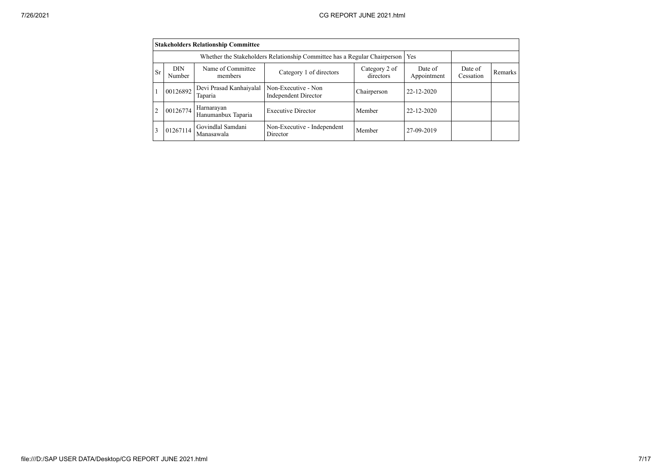|                |                      | <b>Stakeholders Relationship Committee</b> |                                                                                 |                            |                        |                      |         |
|----------------|----------------------|--------------------------------------------|---------------------------------------------------------------------------------|----------------------------|------------------------|----------------------|---------|
|                |                      |                                            | Whether the Stakeholders Relationship Committee has a Regular Chairperson   Yes |                            |                        |                      |         |
| <b>Sr</b>      | <b>DIN</b><br>Number | Name of Committee<br>members               | Category 1 of directors                                                         | Category 2 of<br>directors | Date of<br>Appointment | Date of<br>Cessation | Remarks |
|                | 00126892             | Devi Prasad Kanhaiyalal<br>Taparia         | Non-Executive - Non<br><b>Independent Director</b>                              | Chairperson                | 22-12-2020             |                      |         |
| $\overline{2}$ | 00126774             | Harnarayan<br>Hanumanbux Taparia           | <b>Executive Director</b>                                                       | Member                     | 22-12-2020             |                      |         |
| 3              | 01267114             | Govindlal Samdani<br>Manasawala            | Non-Executive - Independent<br>Director                                         | Member                     | 27-09-2019             |                      |         |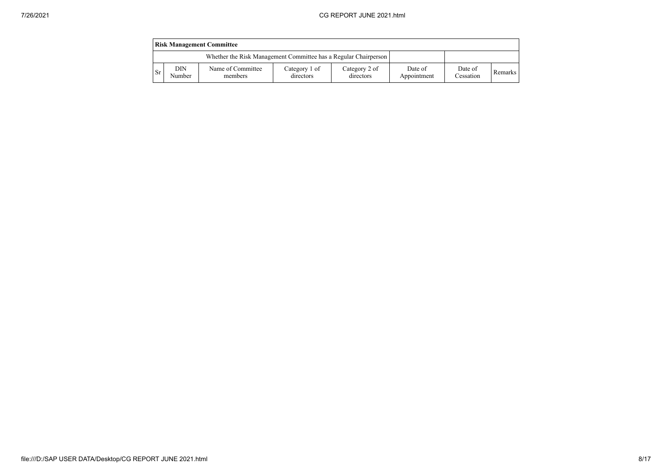|           |               | <b>Risk Management Committee</b>                                |                            |                            |                        |                      |                |
|-----------|---------------|-----------------------------------------------------------------|----------------------------|----------------------------|------------------------|----------------------|----------------|
|           |               | Whether the Risk Management Committee has a Regular Chairperson |                            |                            |                        |                      |                |
| <b>Sr</b> | DIN<br>Number | Name of Committee<br>members                                    | Category 1 of<br>directors | Category 2 of<br>directors | Date of<br>Appointment | Date of<br>Cessation | <b>Remarks</b> |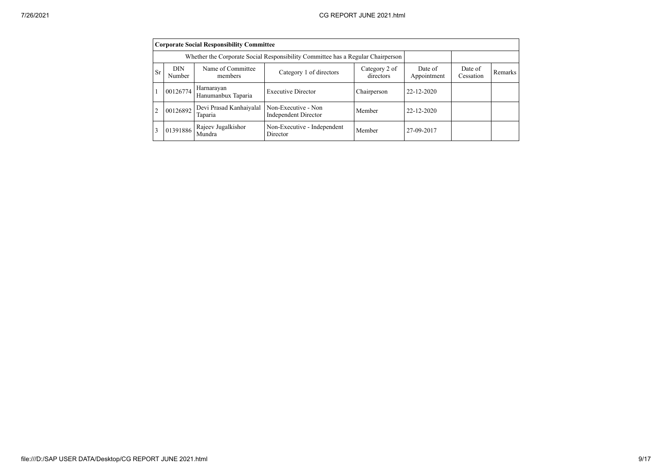|           |                      | <b>Corporate Social Responsibility Committee</b> |                                                                                 |                            |                        |                      |         |
|-----------|----------------------|--------------------------------------------------|---------------------------------------------------------------------------------|----------------------------|------------------------|----------------------|---------|
|           |                      |                                                  | Whether the Corporate Social Responsibility Committee has a Regular Chairperson |                            |                        |                      |         |
| <b>Sr</b> | <b>DIN</b><br>Number | Name of Committee<br>members                     | Category 1 of directors                                                         | Category 2 of<br>directors | Date of<br>Appointment | Date of<br>Cessation | Remarks |
|           | 00126774             | Harnarayan<br>Hanumanbux Taparia                 | <b>Executive Director</b>                                                       | Chairperson                | 22-12-2020             |                      |         |
|           | 00126892             | Devi Prasad Kanhaiyalal<br>Taparia               | Non-Executive - Non<br><b>Independent Director</b>                              | Member                     | 22-12-2020             |                      |         |
|           | 01391886             | Rajeev Jugalkishor<br>Mundra                     | Non-Executive - Independent<br>Director                                         | Member                     | 27-09-2017             |                      |         |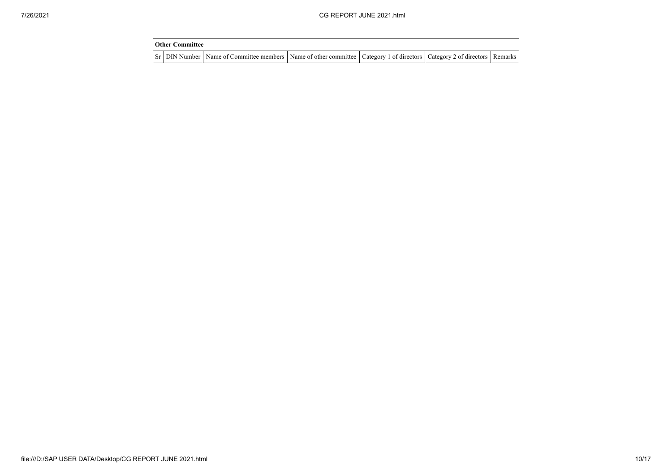| Other Committee |                                                                                                                                     |  |  |
|-----------------|-------------------------------------------------------------------------------------------------------------------------------------|--|--|
|                 | Sr   DIN Number   Name of Committee members   Name of other committee   Category 1 of directors   Category 2 of directors   Remarks |  |  |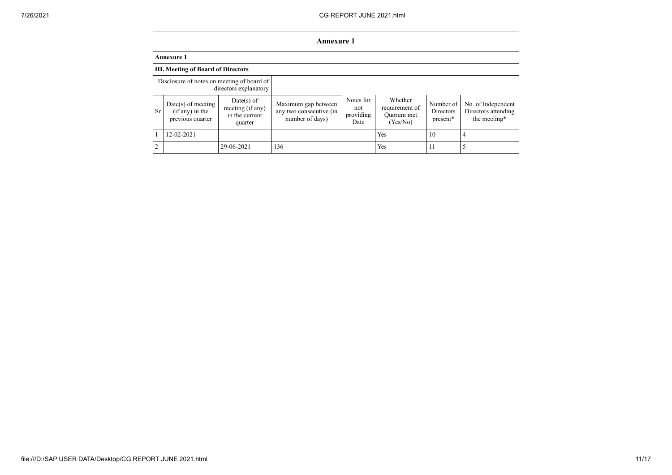|                |                                                               |                                                               | Annexure 1                                                        |                                       |                                                     |                                    |                                                           |
|----------------|---------------------------------------------------------------|---------------------------------------------------------------|-------------------------------------------------------------------|---------------------------------------|-----------------------------------------------------|------------------------------------|-----------------------------------------------------------|
|                | <b>Annexure 1</b>                                             |                                                               |                                                                   |                                       |                                                     |                                    |                                                           |
|                | <b>III.</b> Meeting of Board of Directors                     |                                                               |                                                                   |                                       |                                                     |                                    |                                                           |
|                | Disclosure of notes on meeting of board of                    | directors explanatory                                         |                                                                   |                                       |                                                     |                                    |                                                           |
| Sr             | $Date(s)$ of meeting<br>$(if any)$ in the<br>previous quarter | $Date(s)$ of<br>meeting (if any)<br>in the current<br>quarter | Maximum gap between<br>any two consecutive (in<br>number of days) | Notes for<br>not<br>providing<br>Date | Whether<br>requirement of<br>Quorum met<br>(Yes/No) | Number of<br>Directors<br>present* | No. of Independent<br>Directors attending<br>the meeting* |
|                | 12-02-2021                                                    |                                                               |                                                                   |                                       | Yes                                                 | 10                                 | 4                                                         |
| $\overline{2}$ |                                                               | 29-06-2021                                                    | 136                                                               |                                       | Yes                                                 | 11                                 |                                                           |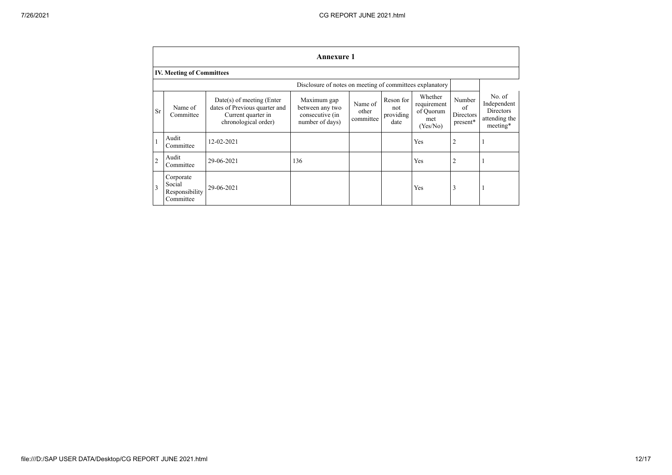| <b>Annexure 1</b> |                                                    |                                                                                                            |                                                                      |                               |                                       |                                                        |                                              |                                                                        |  |
|-------------------|----------------------------------------------------|------------------------------------------------------------------------------------------------------------|----------------------------------------------------------------------|-------------------------------|---------------------------------------|--------------------------------------------------------|----------------------------------------------|------------------------------------------------------------------------|--|
|                   | <b>IV. Meeting of Committees</b>                   |                                                                                                            |                                                                      |                               |                                       |                                                        |                                              |                                                                        |  |
|                   |                                                    |                                                                                                            | Disclosure of notes on meeting of committees explanatory             |                               |                                       |                                                        |                                              |                                                                        |  |
| Sr                | Name of<br>Committee                               | $Date(s)$ of meeting (Enter<br>dates of Previous quarter and<br>Current quarter in<br>chronological order) | Maximum gap<br>between any two<br>consecutive (in<br>number of days) | Name of<br>other<br>committee | Reson for<br>not<br>providing<br>date | Whether<br>requirement<br>of Quorum<br>met<br>(Yes/No) | Number<br>of<br><b>Directors</b><br>present* | No. of<br>Independent<br><b>Directors</b><br>attending the<br>meeting* |  |
|                   | Audit<br>Committee                                 | 12-02-2021                                                                                                 |                                                                      |                               |                                       | Yes                                                    | $\overline{2}$                               |                                                                        |  |
| $\overline{2}$    | Audit<br>Committee                                 | 29-06-2021                                                                                                 | 136                                                                  |                               |                                       | Yes                                                    | $\overline{2}$                               |                                                                        |  |
| $\overline{3}$    | Corporate<br>Social<br>Responsibility<br>Committee | 29-06-2021                                                                                                 |                                                                      |                               |                                       | Yes                                                    | 3                                            |                                                                        |  |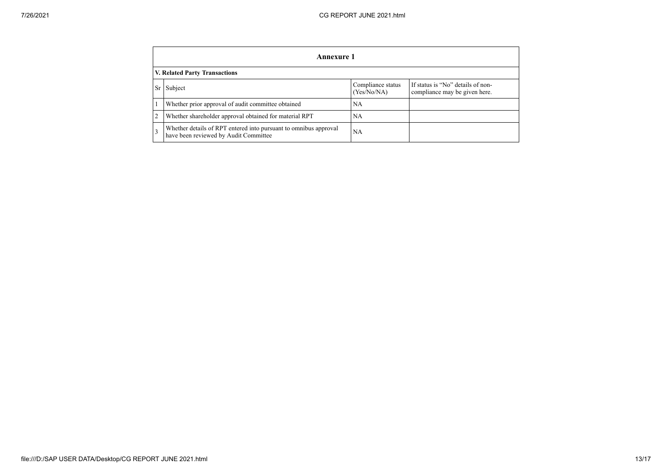|                               | Annexure 1                                                                                                |                                  |                                                                    |  |  |  |
|-------------------------------|-----------------------------------------------------------------------------------------------------------|----------------------------------|--------------------------------------------------------------------|--|--|--|
| V. Related Party Transactions |                                                                                                           |                                  |                                                                    |  |  |  |
| Sr <sub>1</sub>               | Subject                                                                                                   | Compliance status<br>(Yes/No/NA) | If status is "No" details of non-<br>compliance may be given here. |  |  |  |
|                               | Whether prior approval of audit committee obtained                                                        | <b>NA</b>                        |                                                                    |  |  |  |
|                               | Whether shareholder approval obtained for material RPT                                                    | <b>NA</b>                        |                                                                    |  |  |  |
|                               | Whether details of RPT entered into pursuant to omnibus approval<br>have been reviewed by Audit Committee | <b>NA</b>                        |                                                                    |  |  |  |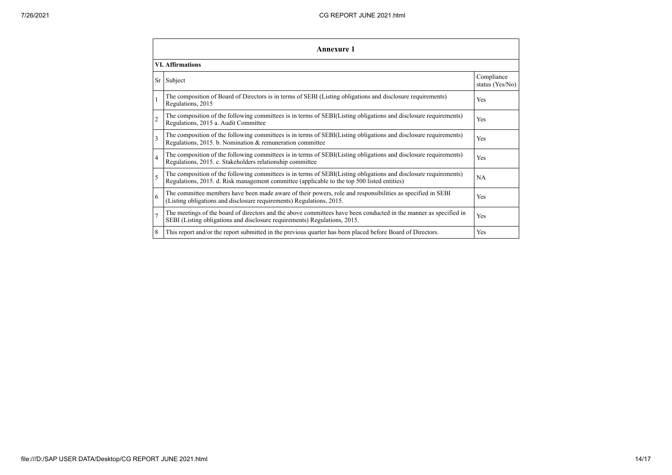| <b>Annexure 1</b>       |                                                                                                                                                                                                                 |                               |  |  |  |
|-------------------------|-----------------------------------------------------------------------------------------------------------------------------------------------------------------------------------------------------------------|-------------------------------|--|--|--|
| <b>VI.</b> Affirmations |                                                                                                                                                                                                                 |                               |  |  |  |
| Sr                      | Subject                                                                                                                                                                                                         | Compliance<br>status (Yes/No) |  |  |  |
|                         | The composition of Board of Directors is in terms of SEBI (Listing obligations and disclosure requirements)<br>Regulations, 2015                                                                                | Yes                           |  |  |  |
| $\overline{2}$          | The composition of the following committees is in terms of SEBI(Listing obligations and disclosure requirements)<br>Regulations, 2015 a. Audit Committee                                                        | Yes                           |  |  |  |
| 3                       | The composition of the following committees is in terms of SEBI(Listing obligations and disclosure requirements)<br>Regulations, 2015. b. Nomination & remuneration committee                                   | Yes                           |  |  |  |
| $\overline{4}$          | The composition of the following committees is in terms of SEBI(Listing obligations and disclosure requirements)<br>Regulations, 2015. c. Stakeholders relationship committee                                   | Yes                           |  |  |  |
| 5                       | The composition of the following committees is in terms of SEBI(Listing obligations and disclosure requirements)<br>Regulations, 2015. d. Risk management committee (applicable to the top 500 listed entities) | <b>NA</b>                     |  |  |  |
| 6                       | The committee members have been made aware of their powers, role and responsibilities as specified in SEBI<br>(Listing obligations and disclosure requirements) Regulations, 2015.                              | Yes                           |  |  |  |
| $\overline{7}$          | The meetings of the board of directors and the above committees have been conducted in the manner as specified in<br>SEBI (Listing obligations and disclosure requirements) Regulations, 2015.                  | Yes                           |  |  |  |
| 8                       | This report and/or the report submitted in the previous quarter has been placed before Board of Directors.                                                                                                      | Yes                           |  |  |  |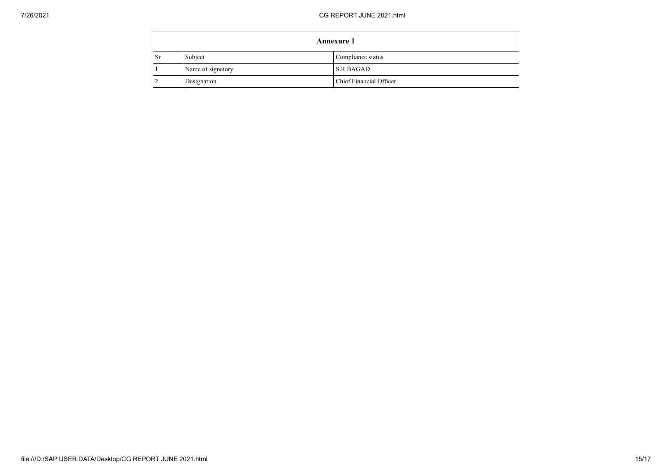| <b>Annexure 1</b> |                   |                         |  |  |
|-------------------|-------------------|-------------------------|--|--|
| <b>Sr</b>         | Subject           | Compliance status       |  |  |
|                   | Name of signatory | S.R.BAGAD               |  |  |
|                   | Designation       | Chief Financial Officer |  |  |